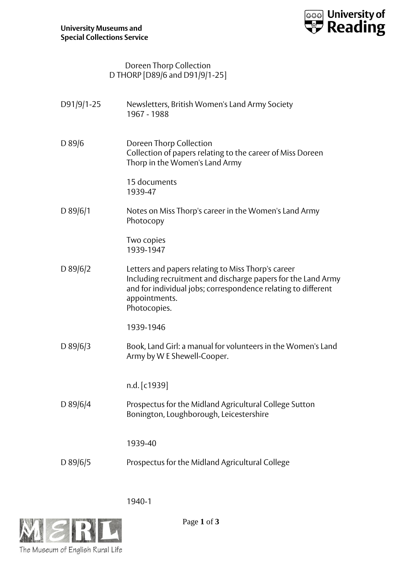

## Doreen Thorp Collection D THORP [D89/6 and D91/9/1-25]

| D91/9/1-25 | Newsletters, British Women's Land Army Society<br>1967 - 1988                                                                                                                                                        |
|------------|----------------------------------------------------------------------------------------------------------------------------------------------------------------------------------------------------------------------|
| $D$ 89/6   | Doreen Thorp Collection<br>Collection of papers relating to the career of Miss Doreen<br>Thorp in the Women's Land Army                                                                                              |
|            | 15 documents<br>1939-47                                                                                                                                                                                              |
| $D$ 89/6/1 | Notes on Miss Thorp's career in the Women's Land Army<br>Photocopy                                                                                                                                                   |
|            | Two copies<br>1939-1947                                                                                                                                                                                              |
| D $89/6/2$ | Letters and papers relating to Miss Thorp's career<br>Including recruitment and discharge papers for the Land Army<br>and for individual jobs; correspondence relating to different<br>appointments.<br>Photocopies. |
|            | 1939-1946                                                                                                                                                                                                            |
| $D$ 89/6/3 | Book, Land Girl: a manual for volunteers in the Women's Land<br>Army by W E Shewell-Cooper.                                                                                                                          |
|            | n.d. [c1939]                                                                                                                                                                                                         |
| D 89/6/4   | Prospectus for the Midland Agricultural College Sutton<br>Bonington, Loughborough, Leicestershire                                                                                                                    |
|            | 1939-40                                                                                                                                                                                                              |
| D $89/6/5$ | Prospectus for the Midland Agricultural College                                                                                                                                                                      |
|            |                                                                                                                                                                                                                      |

1940-1



Page **1** of **3**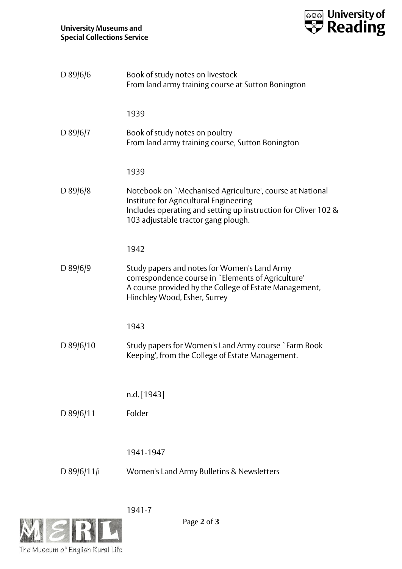

| $D$ 89/6/6    | Book of study notes on livestock<br>From land army training course at Sutton Bonington                                                                                                                      |
|---------------|-------------------------------------------------------------------------------------------------------------------------------------------------------------------------------------------------------------|
|               | 1939                                                                                                                                                                                                        |
| D 89/6/7      | Book of study notes on poultry<br>From land army training course, Sutton Bonington                                                                                                                          |
|               | 1939                                                                                                                                                                                                        |
| D 89/6/8      | Notebook on `Mechanised Agriculture', course at National<br>Institute for Agricultural Engineering<br>Includes operating and setting up instruction for Oliver 102 &<br>103 adjustable tractor gang plough. |
|               | 1942                                                                                                                                                                                                        |
| $D$ 89/6/9    | Study papers and notes for Women's Land Army<br>correspondence course in `Elements of Agriculture'<br>A course provided by the College of Estate Management,<br>Hinchley Wood, Esher, Surrey                |
|               | 1943                                                                                                                                                                                                        |
| $D$ 89/6/10   | Study papers for Women's Land Army course `Farm Book<br>Keeping', from the College of Estate Management.                                                                                                    |
|               | n.d. [1943]                                                                                                                                                                                                 |
| D 89/6/11     | Folder                                                                                                                                                                                                      |
|               |                                                                                                                                                                                                             |
|               | 1941-1947                                                                                                                                                                                                   |
| D $89/6/11/i$ | Women's Land Army Bulletins & Newsletters                                                                                                                                                                   |
|               |                                                                                                                                                                                                             |

1941-7